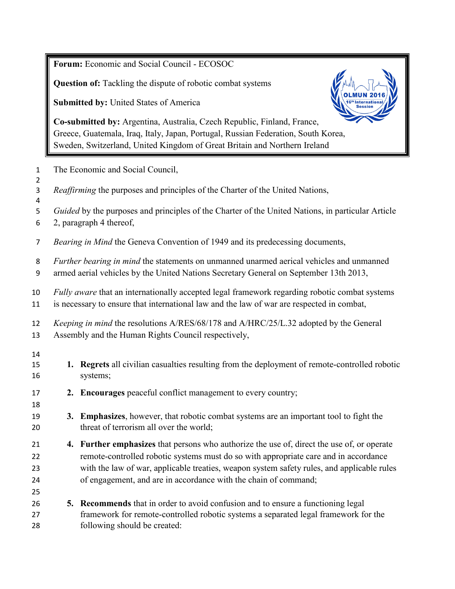**Forum:** Economic and Social Council - ECOSOC

**Question of:** Tackling the dispute of robotic combat systems

**Submitted by:** United States of America



**Co-submitted by:** Argentina, Australia, Czech Republic, Finland, France, Greece, Guatemala, Iraq, Italy, Japan, Portugal, Russian Federation, South Korea, Sweden, Switzerland, United Kingdom of Great Britain and Northern Ireland

- The Economic and Social Council,
- *Reaffirming* the purposes and principles of the Charter of the United Nations,
- *Guided* by the purposes and principles of the Charter of the United Nations, in particular Article
- 2, paragraph 4 thereof,
- *Bearing in Mind* the Geneva Convention of 1949 and its predecessing documents,
- *Further bearing in mind* the statements on unmanned unarmed aerical vehicles and unmanned
- armed aerial vehicles by the United Nations Secretary General on September 13th 2013,
- *Fully aware* that an internationally accepted legal framework regarding robotic combat systems is necessary to ensure that international law and the law of war are respected in combat,
- *Keeping in mind* the resolutions A/RES/68/178 and A/HRC/25/L.32 adopted by the General Assembly and the Human Rights Council respectively,
- 

- **1. Regrets** all civilian casualties resulting from the deployment of remote-controlled robotic systems;
- **2. Encourages** peaceful conflict management to every country;
- **3. Emphasizes**, however, that robotic combat systems are an important tool to fight the 20 threat of terrorism all over the world;
- **4. Further emphasizes** that persons who authorize the use of, direct the use of, or operate remote-controlled robotic systems must do so with appropriate care and in accordance with the law of war, applicable treaties, weapon system safety rules, and applicable rules of engagement, and are in accordance with the chain of command;
- **5. Recommends** that in order to avoid confusion and to ensure a functioning legal framework for remote-controlled robotic systems a separated legal framework for the following should be created: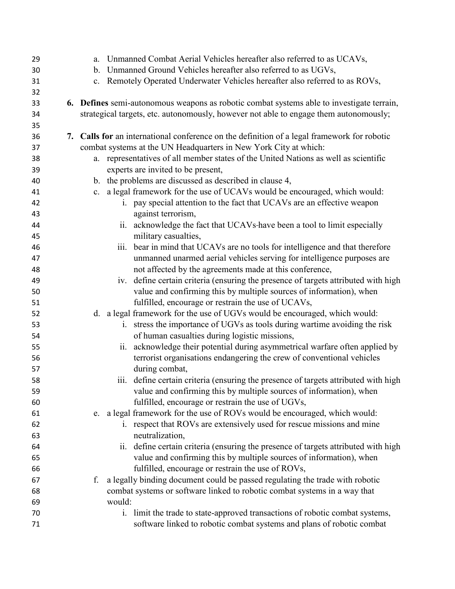| 29 | a. Unmanned Combat Aerial Vehicles hereafter also referred to as UCAVs,                          |
|----|--------------------------------------------------------------------------------------------------|
| 30 | b. Unmanned Ground Vehicles hereafter also referred to as UGVs,                                  |
| 31 | c. Remotely Operated Underwater Vehicles hereafter also referred to as ROVs,                     |
| 32 |                                                                                                  |
| 33 | <b>6.</b> Defines semi-autonomous weapons as robotic combat systems able to investigate terrain, |
| 34 | strategical targets, etc. autonomously, however not able to engage them autonomously;            |
| 35 |                                                                                                  |
| 36 | 7. Calls for an international conference on the definition of a legal framework for robotic      |
| 37 | combat systems at the UN Headquarters in New York City at which:                                 |
| 38 | a. representatives of all member states of the United Nations as well as scientific              |
| 39 | experts are invited to be present,                                                               |
| 40 | b. the problems are discussed as described in clause 4,                                          |
| 41 | c. a legal framework for the use of UCAVs would be encouraged, which would:                      |
| 42 | i. pay special attention to the fact that UCAVs are an effective weapon                          |
| 43 | against terrorism,                                                                               |
| 44 | ii. acknowledge the fact that UCAVs-have been a tool to limit especially                         |
| 45 | military casualties,                                                                             |
| 46 | bear in mind that UCAVs are no tools for intelligence and that therefore<br>iii.                 |
| 47 | unmanned unarmed aerial vehicles serving for intelligence purposes are                           |
| 48 | not affected by the agreements made at this conference,                                          |
| 49 | iv. define certain criteria (ensuring the presence of targets attributed with high               |
| 50 | value and confirming this by multiple sources of information), when                              |
| 51 | fulfilled, encourage or restrain the use of UCAVs,                                               |
| 52 | d. a legal framework for the use of UGVs would be encouraged, which would:                       |
| 53 | i. stress the importance of UGVs as tools during wartime avoiding the risk                       |
| 54 | of human casualties during logistic missions,                                                    |
| 55 | ii. acknowledge their potential during asymmetrical warfare often applied by                     |
| 56 | terrorist organisations endangering the crew of conventional vehicles                            |
| 57 | during combat,                                                                                   |
| 58 | iii. define certain criteria (ensuring the presence of targets attributed with high              |
| 59 | value and confirming this by multiple sources of information), when                              |
| 60 | fulfilled, encourage or restrain the use of UGVs,                                                |
| 61 | e. a legal framework for the use of ROVs would be encouraged, which would:                       |
| 62 | i. respect that ROVs are extensively used for rescue missions and mine                           |
| 63 | neutralization,                                                                                  |
| 64 | ii. define certain criteria (ensuring the presence of targets attributed with high               |
| 65 | value and confirming this by multiple sources of information), when                              |
| 66 | fulfilled, encourage or restrain the use of ROVs,                                                |
| 67 | a legally binding document could be passed regulating the trade with robotic<br>f.               |
| 68 | combat systems or software linked to robotic combat systems in a way that                        |
| 69 | would:                                                                                           |
| 70 | i. limit the trade to state-approved transactions of robotic combat systems,                     |
| 71 | software linked to robotic combat systems and plans of robotic combat                            |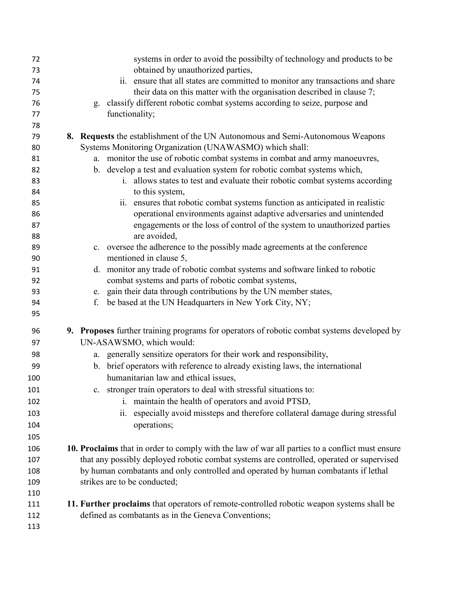| 72         | systems in order to avoid the possibilty of technology and products to be                                                                 |
|------------|-------------------------------------------------------------------------------------------------------------------------------------------|
| 73         | obtained by unauthorized parties,                                                                                                         |
| 74         | ii. ensure that all states are committed to monitor any transactions and share                                                            |
| 75         | their data on this matter with the organisation described in clause 7;                                                                    |
| 76         | classify different robotic combat systems according to seize, purpose and<br>g.                                                           |
| 77         | functionality;                                                                                                                            |
| 78         |                                                                                                                                           |
| 79<br>80   | 8. Requests the establishment of the UN Autonomous and Semi-Autonomous Weapons<br>Systems Monitoring Organization (UNAWASMO) which shall: |
| 81         | a. monitor the use of robotic combat systems in combat and army manoeuvres,                                                               |
| 82         | b. develop a test and evaluation system for robotic combat systems which,                                                                 |
| 83         | i. allows states to test and evaluate their robotic combat systems according                                                              |
| 84         | to this system,                                                                                                                           |
| 85         | ii. ensures that robotic combat systems function as anticipated in realistic                                                              |
| 86         | operational environments against adaptive adversaries and unintended                                                                      |
| 87         | engagements or the loss of control of the system to unauthorized parties                                                                  |
| 88         | are avoided,                                                                                                                              |
| 89         | c. oversee the adherence to the possibly made agreements at the conference                                                                |
| 90         | mentioned in clause 5,                                                                                                                    |
| 91         | d. monitor any trade of robotic combat systems and software linked to robotic                                                             |
| 92         | combat systems and parts of robotic combat systems,                                                                                       |
| 93         | gain their data through contributions by the UN member states,<br>e.                                                                      |
| 94         | be based at the UN Headquarters in New York City, NY;<br>f.                                                                               |
| 95         |                                                                                                                                           |
| 96         | 9. Proposes further training programs for operators of robotic combat systems developed by                                                |
| 97         | UN-ASAWSMO, which would:                                                                                                                  |
| 98         | a. generally sensitize operators for their work and responsibility,                                                                       |
| 99         | b. brief operators with reference to already existing laws, the international                                                             |
| 100        | humanitarian law and ethical issues,                                                                                                      |
| 101        | c. stronger train operators to deal with stressful situations to:                                                                         |
| 102        | i. maintain the health of operators and avoid PTSD,                                                                                       |
| 103        | especially avoid missteps and therefore collateral damage during stressful<br>ii.                                                         |
| 104        | operations;                                                                                                                               |
| 105        |                                                                                                                                           |
| 106        | 10. Proclaims that in order to comply with the law of war all parties to a conflict must ensure                                           |
| 107        | that any possibly deployed robotic combat systems are controlled, operated or supervised                                                  |
|            |                                                                                                                                           |
| 108<br>109 | by human combatants and only controlled and operated by human combatants if lethal<br>strikes are to be conducted;                        |
|            |                                                                                                                                           |
| 110        |                                                                                                                                           |
| 111        | 11. Further proclaims that operators of remote-controlled robotic weapon systems shall be                                                 |
| 112        | defined as combatants as in the Geneva Conventions;                                                                                       |
| 113        |                                                                                                                                           |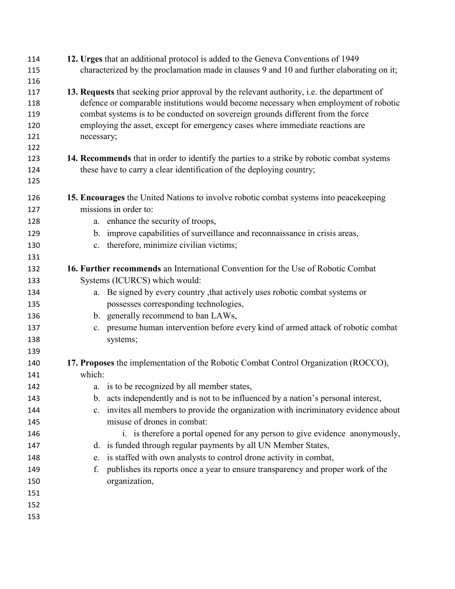| 114<br>115 | 12. Urges that an additional protocol is added to the Geneva Conventions of 1949<br>characterized by the proclamation made in clauses 9 and 10 and further elaborating on it;      |
|------------|------------------------------------------------------------------------------------------------------------------------------------------------------------------------------------|
| 116        |                                                                                                                                                                                    |
| 117<br>118 | 13. Requests that seeking prior approval by the relevant authority, i.e. the department of<br>defence or comparable institutions would become necessary when employment of robotic |
| 119        | combat systems is to be conducted on sovereign grounds different from the force                                                                                                    |
| 120        | employing the asset, except for emergency cases where immediate reactions are                                                                                                      |
| 121        | necessary;                                                                                                                                                                         |
| 122        |                                                                                                                                                                                    |
| 123        | 14. Recommends that in order to identify the parties to a strike by robotic combat systems                                                                                         |
| 124        | these have to carry a clear identification of the deploying country;                                                                                                               |
| 125        |                                                                                                                                                                                    |
| 126        | 15. Encourages the United Nations to involve robotic combat systems into peacekeeping                                                                                              |
| 127        | missions in order to:                                                                                                                                                              |
| 128        | a. enhance the security of troops,                                                                                                                                                 |
| 129        | b. improve capabilities of surveillance and reconnaissance in crisis areas,                                                                                                        |
| 130        | therefore, minimize civilian victims;<br>$c_{\cdot}$                                                                                                                               |
| 131        |                                                                                                                                                                                    |
| 132        | <b>16. Further recommends</b> an International Convention for the Use of Robotic Combat                                                                                            |
| 133        | Systems (ICURCS) which would:                                                                                                                                                      |
| 134        | a. Be signed by every country, that actively uses robotic combat systems or                                                                                                        |
| 135        | possesses corresponding technologies,                                                                                                                                              |
| 136        | b. generally recommend to ban LAWs,                                                                                                                                                |
| 137        | presume human intervention before every kind of armed attack of robotic combat<br>c.                                                                                               |
| 138        | systems;                                                                                                                                                                           |
| 139        |                                                                                                                                                                                    |
| 140        | 17. Proposes the implementation of the Robotic Combat Control Organization (ROCCO),                                                                                                |
| 141        | which:                                                                                                                                                                             |
| 142        | a. is to be recognized by all member states,                                                                                                                                       |
| 143        | b. acts independently and is not to be influenced by a nation's personal interest,                                                                                                 |
| 144        | invites all members to provide the organization with incriminatory evidence about<br>$c_{\cdot}$                                                                                   |
| 145        | misuse of drones in combat:                                                                                                                                                        |
| 146        | i. is therefore a portal opened for any person to give evidence anonymously,                                                                                                       |
| 147        | d. is funded through regular payments by all UN Member States,                                                                                                                     |
| 148        | is staffed with own analysts to control drone activity in combat,<br>e.                                                                                                            |
| 149        | publishes its reports once a year to ensure transparency and proper work of the<br>f.                                                                                              |
| 150        | organization,                                                                                                                                                                      |
| 151        |                                                                                                                                                                                    |
| 152        |                                                                                                                                                                                    |
| 153        |                                                                                                                                                                                    |
|            |                                                                                                                                                                                    |